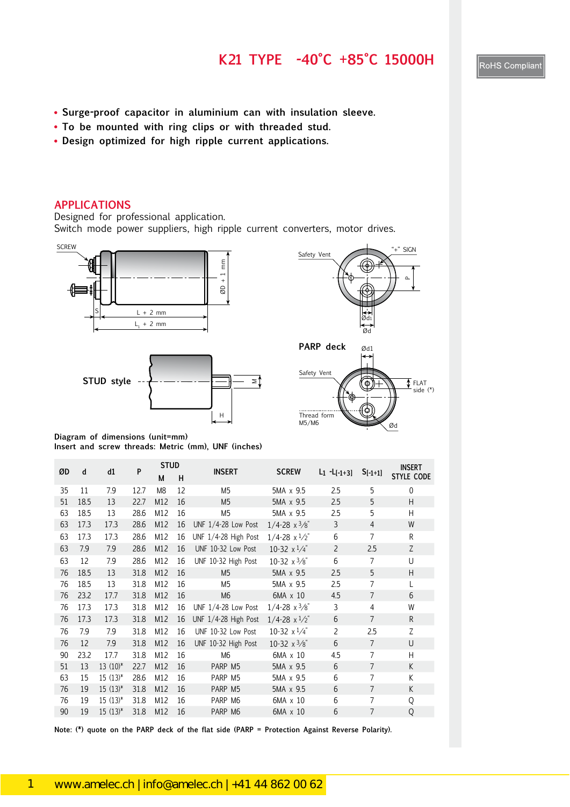#### **K21 TYPE -40°C +85°C 15000H**

- **Surge-proof capacitor in aluminium can with insulation sleeve.**
- **To be mounted with ring clips or with threaded stud.**
- **Design optimized for high ripple current applications.**

#### **APPLICATIONS**

Designed for professional application.

Switch mode power suppliers, high ripple current converters, motor drives.









**Diagram of dimensions (unit=mm) Insert and screw threads: Metric (mm), UNF (inches)**

| ØD | d    | d1           | P    | <b>STUD</b>    |    | <b>INSERT</b>        | <b>SCREW</b>                  |                 |                | <b>INSERT</b>     |
|----|------|--------------|------|----------------|----|----------------------|-------------------------------|-----------------|----------------|-------------------|
|    |      |              |      | М              | н  |                      |                               | $L_1 - L[-1+3]$ | $S[-1+1]$      | <b>STYLE CODE</b> |
| 35 | 11   | 7.9          | 12.7 | M <sub>8</sub> | 12 | M <sub>5</sub>       | 5MA x 9.5                     | 2.5             | 5              | 0                 |
| 51 | 18.5 | 13           | 22.7 | M12            | 16 | M <sub>5</sub>       | 5MA x 9.5                     | 2.5             | 5              | H                 |
| 63 | 18.5 | 13           | 28.6 | M12            | 16 | M <sub>5</sub>       | 5MA x 9.5                     | 2.5             | 5              | H                 |
| 63 | 17.3 | 17.3         | 28.6 | M12            | 16 | UNF 1/4-28 Low Post  | $1/4 - 28 \times \frac{3}{8}$ | 3               | $\overline{4}$ | W                 |
| 63 | 17.3 | 17.3         | 28.6 | M12            | 16 | UNF 1/4-28 High Post | $1/4 - 28 \times \frac{1}{2}$ | 6               | $\overline{7}$ | R                 |
| 63 | 7.9  | 7.9          | 28.6 | M12            | 16 | UNF 10-32 Low Post   | 10-32 $x^{1/4}$               | $\overline{2}$  | 2.5            | Z                 |
| 63 | 12   | 7.9          | 28.6 | M12            | 16 | UNF 10-32 High Post  | 10-32 $x\frac{3}{8}$          | 6               | $\overline{7}$ | U                 |
| 76 | 18.5 | 13           | 31.8 | M12            | 16 | M <sub>5</sub>       | 5MA x 9.5                     | 2.5             | 5              | H                 |
| 76 | 18.5 | 13           | 31.8 | M12            | 16 | M5                   | 5MA x 9.5                     | 2.5             | 7              | L                 |
| 76 | 23.2 | 17.7         | 31.8 | M12            | 16 | M <sub>6</sub>       | 6MA x 10                      | 4.5             | $\overline{7}$ | 6                 |
| 76 | 17.3 | 17.3         | 31.8 | M12            | 16 | UNF 1/4-28 Low Post  | $1/4 - 28 \times \frac{3}{8}$ | 3               | 4              | W                 |
| 76 | 17.3 | 17.3         | 31.8 | M12            | 16 | UNF 1/4-28 High Post | $1/4 - 28 \times \frac{1}{2}$ | 6               | $\overline{7}$ | R                 |
| 76 | 7.9  | 7.9          | 31.8 | M12            | 16 | UNF 10-32 Low Post   | 10-32 $x^{1/4}$               | $\overline{2}$  | 2.5            | Ζ                 |
| 76 | 12   | 7.9          | 31.8 | M12            | 16 | UNF 10-32 High Post  | 10-32 $x^3/s$                 | 6               | $\overline{7}$ | U                 |
| 90 | 23.2 | 17.7         | 31.8 | M12            | 16 | M <sub>6</sub>       | 6MA x 10                      | 4.5             | 7              | H                 |
| 51 | 13   | $13(10)*$    | 22.7 | M12            | 16 | PARP M5              | 5MA x 9.5                     | 6               | $\overline{7}$ | K                 |
| 63 | 15   | $15(13)^{*}$ | 28.6 | M12            | 16 | PARP M5              | 5MA x 9.5                     | 6               | 7              | K                 |
| 76 | 19   | $15(13)^{*}$ | 31.8 | M12            | 16 | PARP M5              | 5MA x 9.5                     | 6               | $\overline{7}$ | K                 |
| 76 | 19   | $15(13)^{*}$ | 31.8 | M12            | 16 | PARP M6              | 6MA x 10                      | 6               | $\overline{7}$ | Q                 |
| 90 | 19   | $15(13)^{*}$ | 31.8 | M12            | 16 | PARP M6              | 6MA x 10                      | 6               | $\overline{7}$ | Q                 |

**Note: (\*) quote on the PARP deck of the flat side (PARP = Protection Against Reverse Polarity).**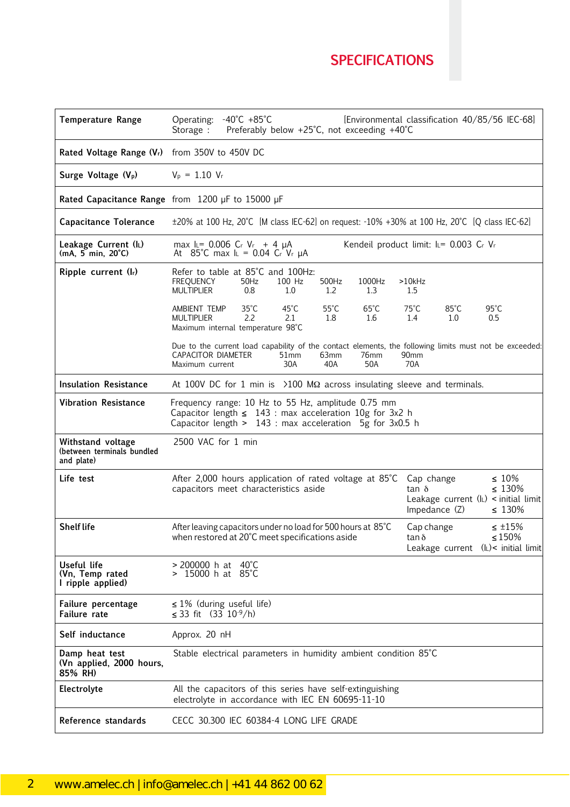# **SPECIFICATIONS**

59

| <b>Temperature Range</b>                                      | Operating: -40°C +85°C<br>Preferably below +25°C, not exceeding +40°C<br>Storage :                                                                                                           | [Environmental classification 40/85/56 IEC-68]                                                                                        |
|---------------------------------------------------------------|----------------------------------------------------------------------------------------------------------------------------------------------------------------------------------------------|---------------------------------------------------------------------------------------------------------------------------------------|
| Rated Voltage Range (V <sub>r</sub> ) from 350V to 450V DC    |                                                                                                                                                                                              |                                                                                                                                       |
| Surge Voltage (V <sub>p</sub> )                               | $V_p = 1.10 V_r$                                                                                                                                                                             |                                                                                                                                       |
|                                                               | Rated Capacitance Range from 1200 µF to 15000 µF                                                                                                                                             |                                                                                                                                       |
| <b>Capacitance Tolerance</b>                                  | $\pm$ 20% at 100 Hz, 20°C [M class IEC-62] on request: -10% +30% at 100 Hz, 20°C [Q class IEC-62]                                                                                            |                                                                                                                                       |
| Leakage Current (IL)<br>$(mA, 5 min, 20^{\circ}C)$            | max $L = 0.006$ Cr Vr + 4 $\mu$ A<br>At 85°C max $I_L = 0.04$ Cr Vr $\mu$ A                                                                                                                  | Kendeil product limit: IL= 0.003 Cr Vr                                                                                                |
| Ripple current (Ir)                                           | Refer to table at 85°C and 100Hz:<br><b>FREQUENCY</b><br>100 Hz<br>500Hz<br>50Hz<br>1000Hz<br><b>MULTIPLIER</b><br>0.8<br>$1.0\,$<br>1.2<br>1.3                                              | $>10$ kHz<br>1.5                                                                                                                      |
|                                                               | $35^{\circ}$ C<br>$45^{\circ}$ C<br>$55^{\circ}$ C<br>$65^{\circ}$ C<br>AMBIENT TEMP<br>2.2<br><b>MULTIPLIER</b><br>2.1<br>1.8<br>1.6<br>Maximum internal temperature 98°C                   | $75^{\circ}$ C<br>$85^{\circ}$ C<br>$95^{\circ}$ C<br>1.4<br>1.0<br>0.5                                                               |
|                                                               | Due to the current load capability of the contact elements, the following limits must not be exceeded:<br>CAPACITOR DIAMETER<br>51mm<br>63mm<br>76mm<br>30A<br>40A<br>50A<br>Maximum current | 90 <sub>mm</sub><br>70A                                                                                                               |
| <b>Insulation Resistance</b>                                  | At 100V DC for 1 min is $\geq$ 100 M $\Omega$ across insulating sleeve and terminals.                                                                                                        |                                                                                                                                       |
| <b>Vibration Resistance</b>                                   | Frequency range: 10 Hz to 55 Hz, amplitude 0.75 mm<br>Capacitor length $\leq 143$ : max acceleration 10g for 3x2 h<br>Capacitor length > 143 : max acceleration 5g for 3x0.5 h               |                                                                                                                                       |
| Withstand voltage<br>(between terminals bundled<br>and plate) | 2500 VAC for 1 min                                                                                                                                                                           |                                                                                                                                       |
| Life test                                                     | After 2,000 hours application of rated voltage at 85°C<br>capacitors meet characteristics aside                                                                                              | $\leq 10\%$<br>Cap change<br>$\leq 130\%$<br>$tan \delta$<br>Leakage current $(l_L)$ < initial limit<br>Impedance (Z)<br>$\leq 130\%$ |
| <b>Shelf life</b>                                             | After leaving capacitors under no load for 500 hours at 85°C<br>when restored at 20°C meet specifications aside                                                                              | Cap change<br>$\leq$ ±15%<br>$\leq 150\%$<br>$\tan \delta$<br>Leakage current (IL)< initial limit                                     |
| Useful life<br>(Vn, Temp rated<br>I ripple applied)           | $>$ 200000 h at 40°C<br>$> 15000$ h at 85°C                                                                                                                                                  |                                                                                                                                       |
| Failure percentage<br><b>Failure</b> rate                     | $\leq$ 1% (during useful life)<br>≤ 33 fit $(33 \ 10^{-9}/h)$                                                                                                                                |                                                                                                                                       |
| Self inductance                                               | Approx. 20 nH                                                                                                                                                                                |                                                                                                                                       |
| Damp heat test<br>(Vn applied, 2000 hours,<br>85% RH)         | Stable electrical parameters in humidity ambient condition 85°C                                                                                                                              |                                                                                                                                       |
| Electrolyte                                                   | All the capacitors of this series have self-extinguishing<br>electrolyte in accordance with IEC EN 60695-11-10                                                                               |                                                                                                                                       |
| Reference standards                                           | CECC 30.300 IEC 60384-4 LONG LIFE GRADE                                                                                                                                                      |                                                                                                                                       |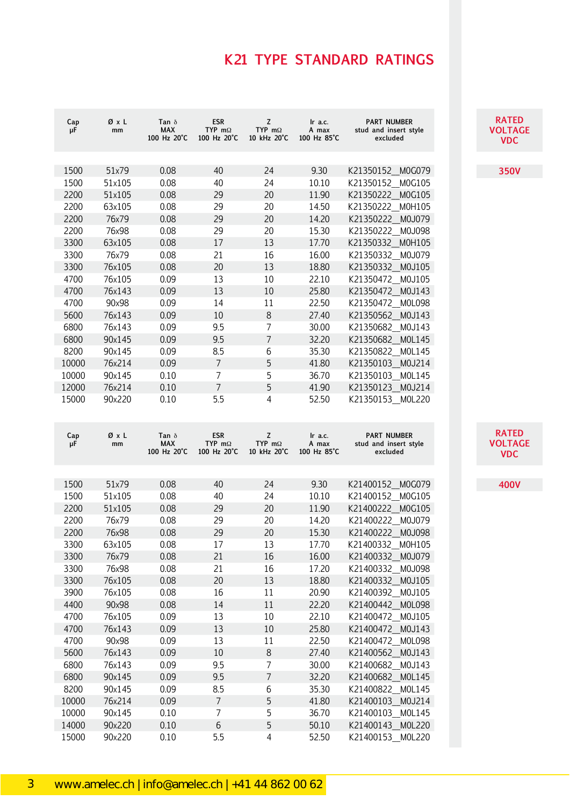## **K21 TYPE STANDARD RATINGS**

| Cap<br>μF    | ØχL<br>mm        | Tan $\delta$<br><b>MAX</b><br>100 Hz 20°C | <b>ESR</b><br>TYP $m\Omega$<br>100 Hz 20°C | Z<br>TYP $m\Omega$<br>10 kHz 20°C  | Ir a.c.<br>A max<br>100 Hz 85°C | PART NUMBER<br>stud and insert style<br>excluded                      |
|--------------|------------------|-------------------------------------------|--------------------------------------------|------------------------------------|---------------------------------|-----------------------------------------------------------------------|
| 1500         | 51x79            | 0.08                                      | 40                                         | 24                                 | 9.30                            | M0G079<br>K21350152                                                   |
| 1500         | 51x105           | 0.08                                      | 40                                         | 24                                 | 10.10                           | K21350152<br>M0G105                                                   |
| 2200         | 51x105           | 0.08                                      | 29                                         | 20                                 | 11.90                           | K21350222<br>M0G105                                                   |
| 2200         | 63x105           | 0.08                                      | 29                                         | 20                                 | 14.50                           | K21350222<br>M0H105                                                   |
| 2200         | 76x79            | 0.08                                      | 29                                         | 20                                 | 14.20                           | K21350222<br>M0J079                                                   |
| 2200         | 76x98            | 0.08                                      | 29                                         | 20                                 | 15.30                           | K21350222<br>M0J098                                                   |
| 3300         | 63x105           | 0.08                                      | 17                                         | 13                                 | 17.70                           | K21350332<br>M0H105                                                   |
| 3300         | 76x79            | 0.08                                      | 21                                         | 16                                 | 16.00                           | K21350332<br>M0J079                                                   |
| 3300         | 76x105           | 0.08                                      | 20                                         | 13                                 | 18.80                           | K21350332<br>M0J105                                                   |
| 4700         | 76x105           | 0.09                                      | 13                                         | 10                                 | 22.10                           | K21350472<br>M0J105                                                   |
| 4700         | 76x143           | 0.09                                      | 13                                         | 10                                 | 25.80                           | K21350472<br>M0J143                                                   |
| 4700         | 90x98            | 0.09                                      | 14                                         | 11                                 | 22.50                           | K21350472<br>M0L098                                                   |
| 5600         | 76x143           | 0.09                                      | 10                                         | $8\,$                              | 27.40                           | K21350562<br>M0J143                                                   |
| 6800         | 76x143           | 0.09                                      | 9.5                                        | 7                                  | 30.00                           | K21350682<br>M0J143                                                   |
| 6800         | 90x145           | 0.09                                      | 9.5                                        | $\overline{7}$                     | 32.20                           | K21350682<br>M0L145                                                   |
| 8200         | 90x145           | 0.09                                      | 8.5                                        | 6                                  | 35.30                           | K21350822<br>M0L145                                                   |
| 10000        | 76x214           | 0.09                                      | $\overline{7}$                             | 5                                  | 41.80                           | K21350103<br>M0J214                                                   |
| 10000        | 90x145           | 0.10                                      | $\overline{7}$                             | 5                                  | 36.70                           | K21350103<br>M0L145                                                   |
| 12000        | 76x214           | 0.10                                      | $\overline{7}$                             | 5                                  | 41.90                           | K21350123<br>M0J214                                                   |
| 15000        | 90x220           | 0.10                                      | 5.5                                        | 4                                  | 52.50                           | K21350153<br>M0L220                                                   |
|              |                  |                                           |                                            |                                    |                                 |                                                                       |
| Cap<br>μF    | ØχL<br>mm        | Tan $\delta$<br><b>MAX</b><br>100 Hz 20°C | <b>ESR</b><br>TYP $m\Omega$<br>100 Hz 20°C | Z<br>TYP m $\Omega$<br>10 kHz 20°C | Ir a.c.<br>A max<br>100 Hz 85°C | <b>PART NUMBER</b><br>stud and insert style<br>excluded               |
|              |                  |                                           |                                            |                                    |                                 |                                                                       |
| 1500         | 51x79            | 0.08                                      | 40                                         | 24                                 | 9.30                            | K21400152<br>M0G079                                                   |
| 1500         | 51x105           | 0.08                                      | 40                                         | 24                                 | 10.10                           | K21400152<br>M0G105                                                   |
| 2200         | 51x105           | 0.08                                      | 29                                         | 20                                 | 11.90                           | K21400222<br>M0G105                                                   |
| 2200         | 76x79            | 0.08                                      | 29                                         | 20                                 | 14.20                           | K21400222<br>M0J079                                                   |
| 2200         | 76x98            | 0.08                                      | 29                                         | 20                                 | 15.30                           | K21400222<br>M0J098                                                   |
| 3300         | 63x105           | 0.08                                      | 17                                         | 13                                 | 17.70                           | K21400332 M0H105                                                      |
| 3300         | 76x79            | 0.08                                      | 21                                         | 16                                 | 16.00                           | K21400332<br>M0J079                                                   |
| 3300         | 76x98            | 0.08                                      | 21                                         | 16                                 | 17.20                           | K21400332<br>M0J098                                                   |
| 3300         | 76x105           | 0.08                                      | 20                                         | 13                                 | 18.80                           | K21400332<br>M0J105                                                   |
| 3900         | 76x105           | 0.08                                      | 16                                         | 11                                 | 20.90                           | K21400392<br>M0J105                                                   |
| 4400         | 90x98            | 0.08                                      | 14                                         | 11                                 | 22.20                           | K21400442                                                             |
| 4700         | 76x105           | 0.09                                      | 13                                         | 10                                 | 22.10                           | K21400472<br>M0J105                                                   |
| 4700         | 76x143           | 0.09                                      | 13                                         | 10                                 | 25.80                           | K21400472                                                             |
| 4700         | 90x98<br>76x143  | 0.09<br>0.09                              | 13                                         | 11                                 | 22.50                           | M0L098<br>K21400472<br>K21400562                                      |
| 5600         |                  |                                           | 10                                         | $\,8\,$<br>7                       | 27.40                           |                                                                       |
| 6800<br>6800 | 76x143<br>90x145 | 0.09<br>0.09                              | 9.5<br>9.5                                 | $\overline{7}$                     | 30.00<br>32.20                  | K21400682<br>K21400682                                                |
| 8200         | 90x145           | 0.09                                      | 8.5                                        | 6                                  | 35.30                           | M0J143<br>K21400822<br>M0L145                                         |
| 10000        | 76x214           | 0.09                                      | $\boldsymbol{7}$                           | 5                                  | 41.80                           | K21400103                                                             |
| 10000        | 90x145           | 0.10                                      | 7                                          | 5                                  | 36.70                           | M0L098<br>M0J143<br>M0J143<br>M0L145<br>M0J214<br>K21400103<br>M0L145 |
| 14000        | 90x220           | 0.10                                      | 6                                          | 5                                  | 50.10                           | K21400143<br>M0L220                                                   |

**RATED VOLTAGE VDC**

**350V**

**RATED VOLTAGE VDC**

**400V**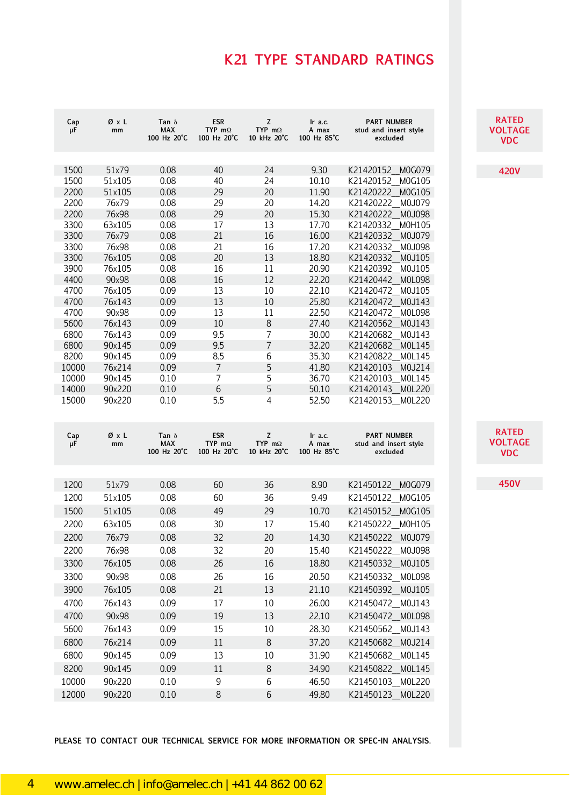## **K21 TYPE STANDARD RATINGS**

| Cap<br>μF      | ØχL<br>mm        | Tan $\delta$<br><b>MAX</b><br>100 Hz 20°C | <b>ESR</b><br>TYP m $\Omega$<br>100 Hz 20°C | Z<br>TYP $m\Omega$<br>10 kHz 20°C  | Ir a.c.<br>A max<br>100 Hz 85°C | <b>PART NUMBER</b><br>stud and insert style<br>excluded |
|----------------|------------------|-------------------------------------------|---------------------------------------------|------------------------------------|---------------------------------|---------------------------------------------------------|
| 1500           | 51x79            | 0.08                                      | 40                                          | 24                                 | 9.30                            | K21420152<br>M0G079                                     |
| 1500           | 51x105           | 0.08                                      | 40                                          | 24                                 | 10.10                           | K21420152<br>M0G105                                     |
| 2200           | 51x105           | 0.08                                      | 29                                          | 20                                 | 11.90                           | K21420222<br>M0G105                                     |
| 2200           | 76x79            | 0.08                                      | 29                                          | 20                                 | 14.20                           | K21420222<br>M0J079                                     |
| 2200           | 76x98            | 0.08                                      | 29                                          | 20                                 | 15.30                           | K21420222<br>M0J098                                     |
| 3300           | 63x105           | 0.08                                      | 17                                          | 13                                 | 17.70                           | K21420332<br>M0H105                                     |
| 3300           | 76x79            | 0.08                                      | 21                                          | 16                                 | 16.00                           | K21420332<br>M0J079                                     |
| 3300           | 76x98            | 0.08                                      | 21                                          | 16                                 | 17.20                           | K21420332<br>M0J098                                     |
| 3300           | 76x105           | 0.08                                      | 20                                          | 13                                 | 18.80                           | K21420332<br>M0J105                                     |
| 3900           | 76x105           | 0.08                                      | 16                                          | 11                                 | 20.90                           | K21420392<br>M0J105                                     |
| 4400           | 90x98            | 0.08                                      | 16                                          | 12                                 | 22.20                           | K21420442<br>M0L098                                     |
| 4700           | 76x105           | 0.09                                      | 13                                          | 10                                 | 22.10                           | K21420472<br>M0J105                                     |
| 4700           | 76x143           | 0.09                                      | 13                                          | 10                                 | 25.80                           | K21420472<br>M0J143                                     |
| 4700           | 90x98            | 0.09                                      | 13                                          | 11                                 | 22.50                           | K21420472<br>M0L098                                     |
| 5600<br>6800   | 76x143<br>76x143 | 0.09<br>0.09                              | 10<br>9.5                                   | 8<br>7                             | 27.40<br>30.00                  | K21420562<br>M0J143<br>K21420682<br>M0J143              |
| 6800           | 90x145           | 0.09                                      | 9.5                                         | $\overline{7}$                     | 32.20                           | K21420682<br>M0L145                                     |
| 8200           | 90x145           | 0.09                                      | 8.5                                         | 6                                  | 35.30                           | K21420822<br>M0L145                                     |
| 10000          | 76x214           | 0.09                                      | $\overline{7}$                              | 5                                  | 41.80                           | K21420103<br>M0J214                                     |
| 10000          | 90x145           | 0.10                                      | 7                                           | 5                                  | 36.70                           | K21420103<br>M0L145                                     |
| 14000          | 90x220           | 0.10                                      | 6                                           | 5                                  | 50.10                           | M0L220<br>K21420143                                     |
| 15000          | 90x220           | 0.10                                      | 5.5                                         | 4                                  | 52.50                           | M0L220<br>K21420153_                                    |
| Cap<br>μF      | ØxL<br>mm        | Tan $\delta$<br><b>MAX</b><br>100 Hz 20°C | <b>ESR</b><br>TYP m $\Omega$<br>100 Hz 20°C | Z<br>TYP m $\Omega$<br>10 kHz 20°C | Ir a.c.<br>A max<br>100 Hz 85°C | <b>PART NUMBER</b><br>stud and insert style<br>excluded |
|                |                  |                                           |                                             |                                    |                                 |                                                         |
| 1200           | 51x79            |                                           |                                             |                                    |                                 |                                                         |
| 1200           |                  | 0.08                                      | 60                                          | 36                                 | 8.90                            | K21450122<br>M0G079                                     |
|                | 51x105           | 0.08                                      | 60                                          | 36                                 | 9.49                            | M0G105<br>K21450122                                     |
| 1500           | 51x105           | 0.08                                      | 49                                          | 29                                 | 10.70                           | M0G105<br>K21450152                                     |
| 2200           | 63x105           | 0.08                                      | 30                                          | 17                                 | 15.40                           | K21450222<br>M0H105                                     |
|                |                  |                                           |                                             |                                    |                                 |                                                         |
| 2200           | 76x79            | 0.08                                      | 32                                          | 20                                 | 14.30                           | K21450222<br>M0J079                                     |
| 2200           | 76x98            | 0.08                                      | 32                                          | 20                                 | 15.40                           | K21450222_M0J098                                        |
| 3300           | 76x105           | 0.08                                      | 26                                          | 16                                 | 18.80                           | K21450332_M0J105                                        |
| 3300           | 90x98            | 0.08                                      | 26                                          | 16                                 | 20.50                           | K21450332 M0L098                                        |
| 3900           | 76x105           | 0.08                                      | 21                                          | 13                                 | 21.10                           | K21450392 M0J105                                        |
| 4700           | 76x143           | 0.09                                      | 17                                          | $10\,$                             | 26.00                           | K21450472_M0J143                                        |
| 4700           | 90x98            | 0.09                                      | 19                                          | 13                                 | 22.10                           | K21450472 M0L098                                        |
|                |                  |                                           |                                             |                                    |                                 |                                                         |
| 5600           | 76x143           | 0.09                                      | 15                                          | 10                                 | 28.30                           | K21450562_M0J143                                        |
| 6800           | 76x214           | 0.09                                      | 11                                          | $\,8\,$                            | 37.20                           | K21450682 M0J214                                        |
| 6800           | 90x145           | 0.09                                      | 13                                          | 10                                 | 31.90                           | K21450682_M0L145                                        |
| 8200           | 90x145           | 0.09                                      | 11                                          | $\,8\,$                            | 34.90                           | K21450822 MOL145                                        |
| 10000<br>12000 | 90x220<br>90x220 | 0.10<br>0.10                              | 9<br>8                                      | 6<br>6                             | 46.50<br>49.80                  | K21450103<br>M0L220<br>K21450123_M0L220                 |

**PLEASE TO CONTACT OUR TECHNICAL SERVICE FOR MORE INFORMATION OR SPEC-IN ANALYSIS.**

**RATED VOLTAGE VDC**

**RATED VOLTAGE VDC**

**450V**

61